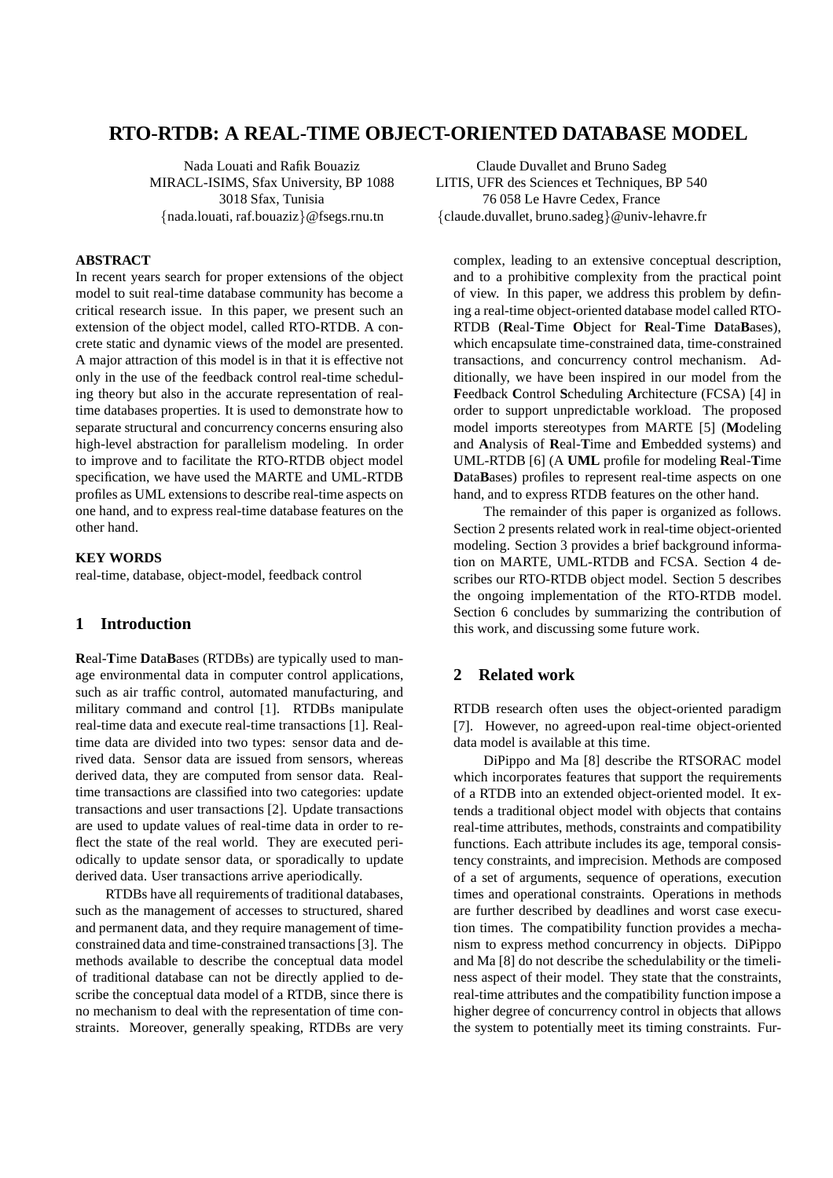# **RTO-RTDB: A REAL-TIME OBJECT-ORIENTED DATABASE MODEL**

Nada Louati and Rafik Bouaziz MIRACL-ISIMS, Sfax University, BP 1088 3018 Sfax, Tunisia {nada.louati, raf.bouaziz}@fsegs.rnu.tn

#### **ABSTRACT**

In recent years search for proper extensions of the object model to suit real-time database community has become a critical research issue. In this paper, we present such an extension of the object model, called RTO-RTDB. A concrete static and dynamic views of the model are presented. A major attraction of this model is in that it is effective not only in the use of the feedback control real-time scheduling theory but also in the accurate representation of realtime databases properties. It is used to demonstrate how to separate structural and concurrency concerns ensuring also high-level abstraction for parallelism modeling. In order to improve and to facilitate the RTO-RTDB object model specification, we have used the MARTE and UML-RTDB profiles as UML extensions to describe real-time aspects on one hand, and to express real-time database features on the other hand.

### **KEY WORDS**

real-time, database, object-model, feedback control

# **1 Introduction**

**R**eal-**T**ime **D**ata**B**ases (RTDBs) are typically used to manage environmental data in computer control applications, such as air traffic control, automated manufacturing, and military command and control [1]. RTDBs manipulate real-time data and execute real-time transactions [1]. Realtime data are divided into two types: sensor data and derived data. Sensor data are issued from sensors, whereas derived data, they are computed from sensor data. Realtime transactions are classified into two categories: update transactions and user transactions [2]. Update transactions are used to update values of real-time data in order to reflect the state of the real world. They are executed periodically to update sensor data, or sporadically to update derived data. User transactions arrive aperiodically.

RTDBs have all requirements of traditional databases, such as the management of accesses to structured, shared and permanent data, and they require management of timeconstrained data and time-constrained transactions [3]. The methods available to describe the conceptual data model of traditional database can not be directly applied to describe the conceptual data model of a RTDB, since there is no mechanism to deal with the representation of time constraints. Moreover, generally speaking, RTDBs are very

Claude Duvallet and Bruno Sadeg LITIS, UFR des Sciences et Techniques, BP 540 76 058 Le Havre Cedex, France {claude.duvallet, bruno.sadeg}@univ-lehavre.fr

complex, leading to an extensive conceptual description, and to a prohibitive complexity from the practical point of view. In this paper, we address this problem by defining a real-time object-oriented database model called RTO-RTDB (**R**eal-**T**ime **O**bject for **R**eal-**T**ime **D**ata**B**ases), which encapsulate time-constrained data, time-constrained transactions, and concurrency control mechanism. Additionally, we have been inspired in our model from the **F**eedback **C**ontrol **S**cheduling **A**rchitecture (FCSA) [4] in order to support unpredictable workload. The proposed model imports stereotypes from MARTE [5] (**M**odeling and **A**nalysis of **R**eal-**T**ime and **E**mbedded systems) and UML-RTDB [6] (A **UML** profile for modeling **R**eal-**T**ime **D**ata**B**ases) profiles to represent real-time aspects on one hand, and to express RTDB features on the other hand.

The remainder of this paper is organized as follows. Section 2 presents related work in real-time object-oriented modeling. Section 3 provides a brief background information on MARTE, UML-RTDB and FCSA. Section 4 describes our RTO-RTDB object model. Section 5 describes the ongoing implementation of the RTO-RTDB model. Section 6 concludes by summarizing the contribution of this work, and discussing some future work.

### **2 Related work**

RTDB research often uses the object-oriented paradigm [7]. However, no agreed-upon real-time object-oriented data model is available at this time.

DiPippo and Ma [8] describe the RTSORAC model which incorporates features that support the requirements of a RTDB into an extended object-oriented model. It extends a traditional object model with objects that contains real-time attributes, methods, constraints and compatibility functions. Each attribute includes its age, temporal consistency constraints, and imprecision. Methods are composed of a set of arguments, sequence of operations, execution times and operational constraints. Operations in methods are further described by deadlines and worst case execution times. The compatibility function provides a mechanism to express method concurrency in objects. DiPippo and Ma [8] do not describe the schedulability or the timeliness aspect of their model. They state that the constraints, real-time attributes and the compatibility function impose a higher degree of concurrency control in objects that allows the system to potentially meet its timing constraints. Fur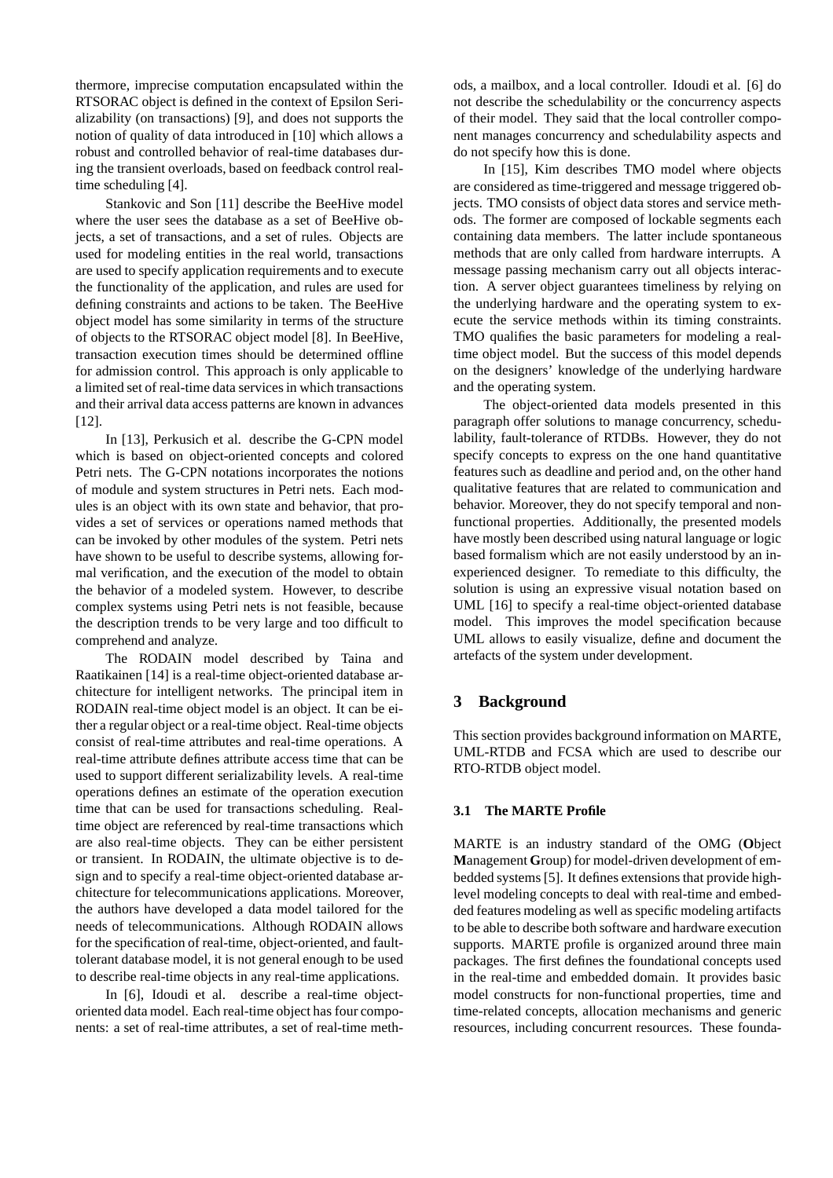thermore, imprecise computation encapsulated within the RTSORAC object is defined in the context of Epsilon Serializability (on transactions) [9], and does not supports the notion of quality of data introduced in [10] which allows a robust and controlled behavior of real-time databases during the transient overloads, based on feedback control realtime scheduling [4].

Stankovic and Son [11] describe the BeeHive model where the user sees the database as a set of BeeHive objects, a set of transactions, and a set of rules. Objects are used for modeling entities in the real world, transactions are used to specify application requirements and to execute the functionality of the application, and rules are used for defining constraints and actions to be taken. The BeeHive object model has some similarity in terms of the structure of objects to the RTSORAC object model [8]. In BeeHive, transaction execution times should be determined offline for admission control. This approach is only applicable to a limited set of real-time data services in which transactions and their arrival data access patterns are known in advances [12].

In [13], Perkusich et al. describe the G-CPN model which is based on object-oriented concepts and colored Petri nets. The G-CPN notations incorporates the notions of module and system structures in Petri nets. Each modules is an object with its own state and behavior, that provides a set of services or operations named methods that can be invoked by other modules of the system. Petri nets have shown to be useful to describe systems, allowing formal verification, and the execution of the model to obtain the behavior of a modeled system. However, to describe complex systems using Petri nets is not feasible, because the description trends to be very large and too difficult to comprehend and analyze.

The RODAIN model described by Taina and Raatikainen [14] is a real-time object-oriented database architecture for intelligent networks. The principal item in RODAIN real-time object model is an object. It can be either a regular object or a real-time object. Real-time objects consist of real-time attributes and real-time operations. A real-time attribute defines attribute access time that can be used to support different serializability levels. A real-time operations defines an estimate of the operation execution time that can be used for transactions scheduling. Realtime object are referenced by real-time transactions which are also real-time objects. They can be either persistent or transient. In RODAIN, the ultimate objective is to design and to specify a real-time object-oriented database architecture for telecommunications applications. Moreover, the authors have developed a data model tailored for the needs of telecommunications. Although RODAIN allows for the specification of real-time, object-oriented, and faulttolerant database model, it is not general enough to be used to describe real-time objects in any real-time applications.

In [6], Idoudi et al. describe a real-time objectoriented data model. Each real-time object has four components: a set of real-time attributes, a set of real-time methods, a mailbox, and a local controller. Idoudi et al. [6] do not describe the schedulability or the concurrency aspects of their model. They said that the local controller component manages concurrency and schedulability aspects and do not specify how this is done.

In [15], Kim describes TMO model where objects are considered as time-triggered and message triggered objects. TMO consists of object data stores and service methods. The former are composed of lockable segments each containing data members. The latter include spontaneous methods that are only called from hardware interrupts. A message passing mechanism carry out all objects interaction. A server object guarantees timeliness by relying on the underlying hardware and the operating system to execute the service methods within its timing constraints. TMO qualifies the basic parameters for modeling a realtime object model. But the success of this model depends on the designers' knowledge of the underlying hardware and the operating system.

The object-oriented data models presented in this paragraph offer solutions to manage concurrency, schedulability, fault-tolerance of RTDBs. However, they do not specify concepts to express on the one hand quantitative features such as deadline and period and, on the other hand qualitative features that are related to communication and behavior. Moreover, they do not specify temporal and nonfunctional properties. Additionally, the presented models have mostly been described using natural language or logic based formalism which are not easily understood by an inexperienced designer. To remediate to this difficulty, the solution is using an expressive visual notation based on UML [16] to specify a real-time object-oriented database model. This improves the model specification because UML allows to easily visualize, define and document the artefacts of the system under development.

# **3 Background**

This section provides background information on MARTE, UML-RTDB and FCSA which are used to describe our RTO-RTDB object model.

#### **3.1 The MARTE Profile**

MARTE is an industry standard of the OMG (**O**bject **M**anagement **G**roup) for model-driven development of embedded systems [5]. It defines extensions that provide highlevel modeling concepts to deal with real-time and embedded features modeling as well as specific modeling artifacts to be able to describe both software and hardware execution supports. MARTE profile is organized around three main packages. The first defines the foundational concepts used in the real-time and embedded domain. It provides basic model constructs for non-functional properties, time and time-related concepts, allocation mechanisms and generic resources, including concurrent resources. These founda-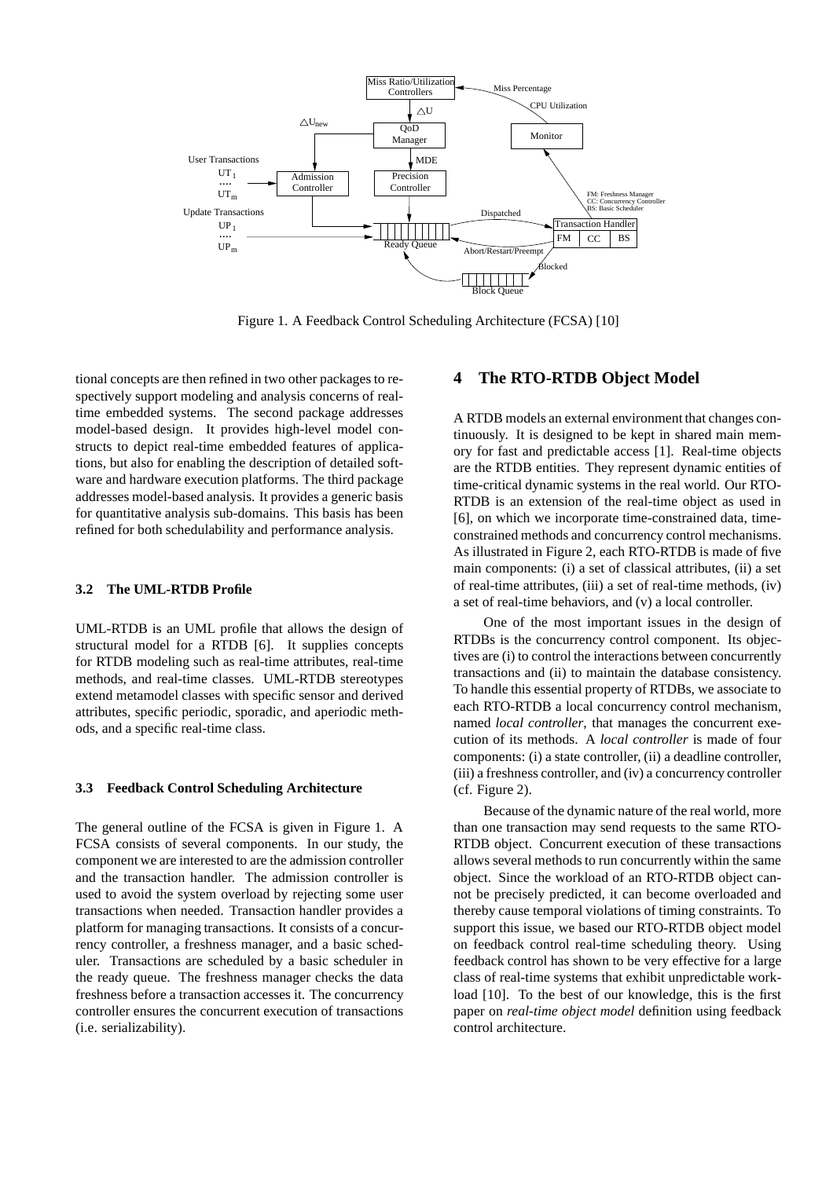

Figure 1. A Feedback Control Scheduling Architecture (FCSA) [10]

tional concepts are then refined in two other packages to respectively support modeling and analysis concerns of realtime embedded systems. The second package addresses model-based design. It provides high-level model constructs to depict real-time embedded features of applications, but also for enabling the description of detailed software and hardware execution platforms. The third package addresses model-based analysis. It provides a generic basis for quantitative analysis sub-domains. This basis has been refined for both schedulability and performance analysis.

#### **3.2 The UML-RTDB Profile**

UML-RTDB is an UML profile that allows the design of structural model for a RTDB [6]. It supplies concepts for RTDB modeling such as real-time attributes, real-time methods, and real-time classes. UML-RTDB stereotypes extend metamodel classes with specific sensor and derived attributes, specific periodic, sporadic, and aperiodic methods, and a specific real-time class.

#### **3.3 Feedback Control Scheduling Architecture**

The general outline of the FCSA is given in Figure 1. A FCSA consists of several components. In our study, the component we are interested to are the admission controller and the transaction handler. The admission controller is used to avoid the system overload by rejecting some user transactions when needed. Transaction handler provides a platform for managing transactions. It consists of a concurrency controller, a freshness manager, and a basic scheduler. Transactions are scheduled by a basic scheduler in the ready queue. The freshness manager checks the data freshness before a transaction accesses it. The concurrency controller ensures the concurrent execution of transactions (i.e. serializability).

## **4 The RTO-RTDB Object Model**

A RTDB models an external environment that changes continuously. It is designed to be kept in shared main memory for fast and predictable access [1]. Real-time objects are the RTDB entities. They represent dynamic entities of time-critical dynamic systems in the real world. Our RTO-RTDB is an extension of the real-time object as used in [6], on which we incorporate time-constrained data, timeconstrained methods and concurrency control mechanisms. As illustrated in Figure 2, each RTO-RTDB is made of five main components: (i) a set of classical attributes, (ii) a set of real-time attributes, (iii) a set of real-time methods, (iv) a set of real-time behaviors, and (v) a local controller.

One of the most important issues in the design of RTDBs is the concurrency control component. Its objectives are (i) to control the interactions between concurrently transactions and (ii) to maintain the database consistency. To handle this essential property of RTDBs, we associate to each RTO-RTDB a local concurrency control mechanism, named *local controller*, that manages the concurrent execution of its methods. A *local controller* is made of four components: (i) a state controller, (ii) a deadline controller, (iii) a freshness controller, and (iv) a concurrency controller (cf. Figure 2).

Because of the dynamic nature of the real world, more than one transaction may send requests to the same RTO-RTDB object. Concurrent execution of these transactions allows several methods to run concurrently within the same object. Since the workload of an RTO-RTDB object cannot be precisely predicted, it can become overloaded and thereby cause temporal violations of timing constraints. To support this issue, we based our RTO-RTDB object model on feedback control real-time scheduling theory. Using feedback control has shown to be very effective for a large class of real-time systems that exhibit unpredictable workload [10]. To the best of our knowledge, this is the first paper on *real-time object model* definition using feedback control architecture.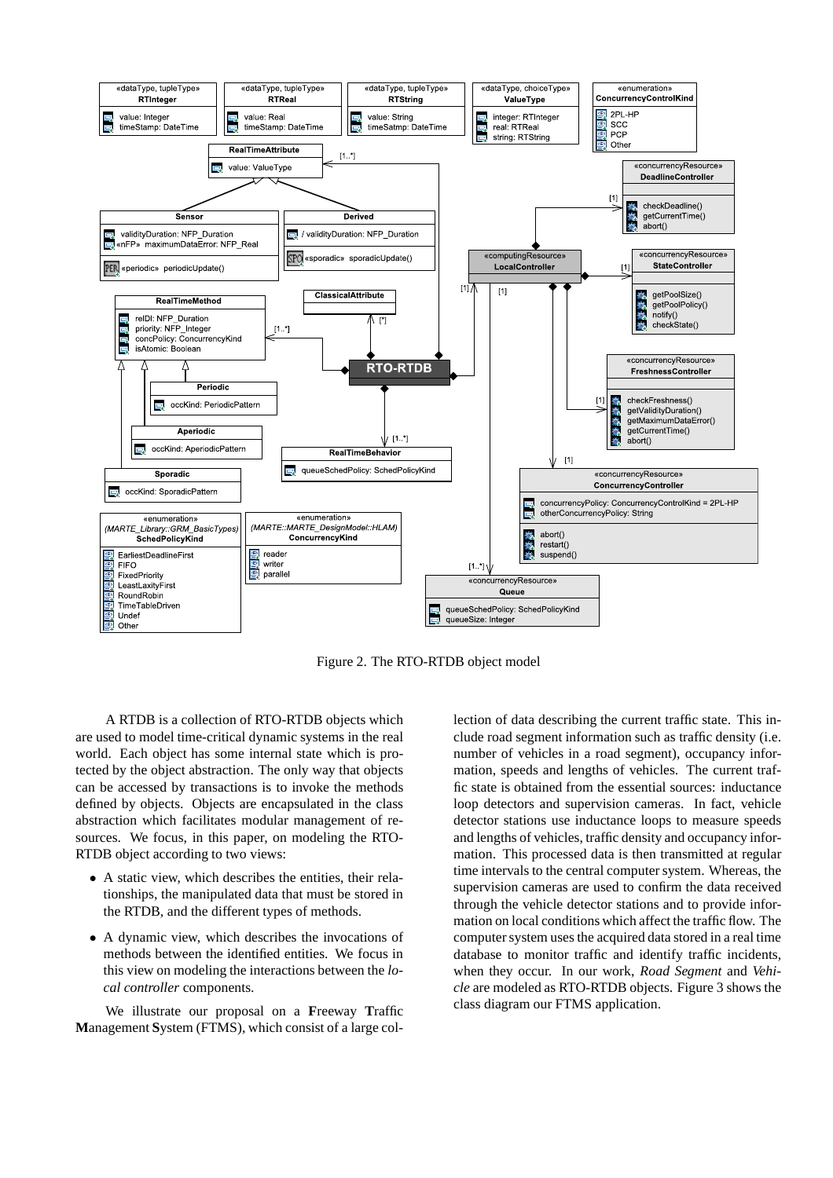

Figure 2. The RTO-RTDB object model

A RTDB is a collection of RTO-RTDB objects which are used to model time-critical dynamic systems in the real world. Each object has some internal state which is protected by the object abstraction. The only way that objects can be accessed by transactions is to invoke the methods defined by objects. Objects are encapsulated in the class abstraction which facilitates modular management of resources. We focus, in this paper, on modeling the RTO-RTDB object according to two views:

- A static view, which describes the entities, their relationships, the manipulated data that must be stored in the RTDB, and the different types of methods.
- A dynamic view, which describes the invocations of methods between the identified entities. We focus in this view on modeling the interactions between the *local controller* components.

We illustrate our proposal on a **F**reeway **T**raffic **M**anagement **S**ystem (FTMS), which consist of a large collection of data describing the current traffic state. This include road segment information such as traffic density (i.e. number of vehicles in a road segment), occupancy information, speeds and lengths of vehicles. The current traffic state is obtained from the essential sources: inductance loop detectors and supervision cameras. In fact, vehicle detector stations use inductance loops to measure speeds and lengths of vehicles, traffic density and occupancy information. This processed data is then transmitted at regular time intervals to the central computer system. Whereas, the supervision cameras are used to confirm the data received through the vehicle detector stations and to provide information on local conditions which affect the traffic flow. The computer system uses the acquired data stored in a real time database to monitor traffic and identify traffic incidents, when they occur. In our work, *Road Segment* and *Vehicle* are modeled as RTO-RTDB objects. Figure 3 shows the class diagram our FTMS application.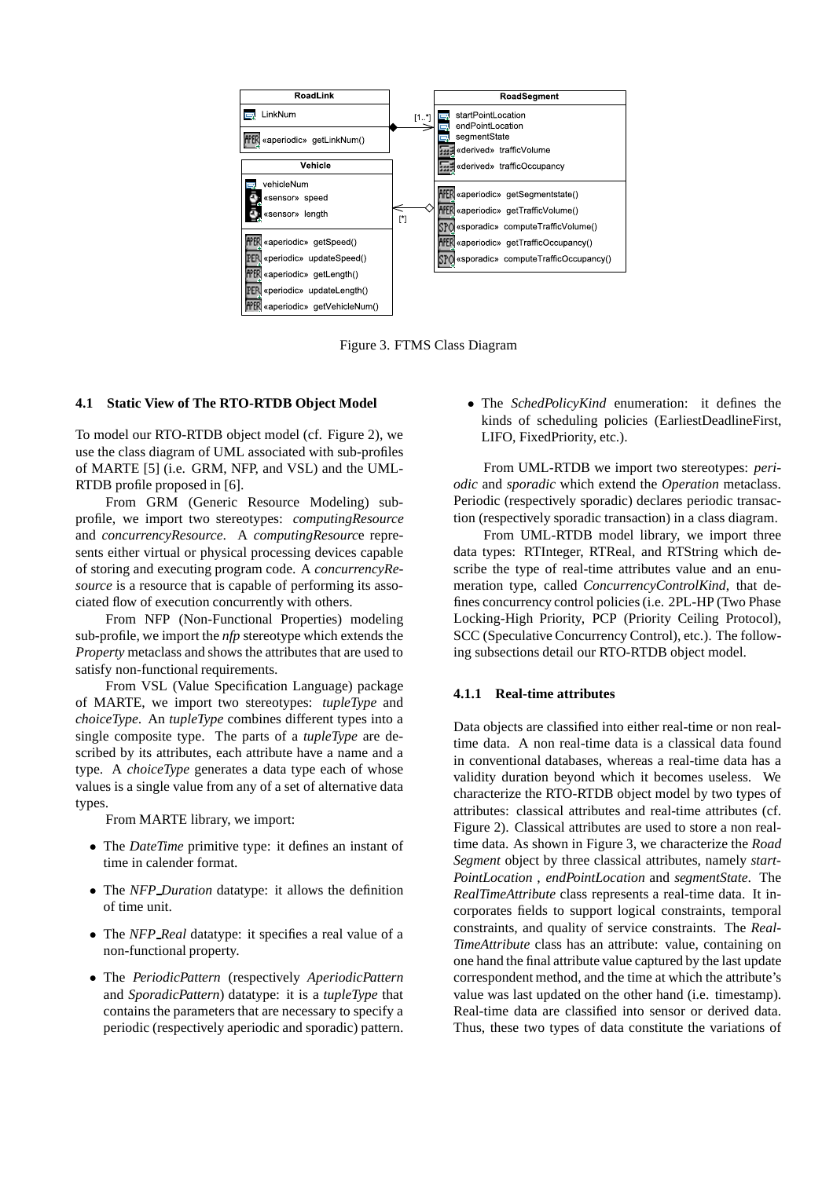

Figure 3. FTMS Class Diagram

#### **4.1 Static View of The RTO-RTDB Object Model**

To model our RTO-RTDB object model (cf. Figure 2), we use the class diagram of UML associated with sub-profiles of MARTE [5] (i.e. GRM, NFP, and VSL) and the UML-RTDB profile proposed in [6].

From GRM (Generic Resource Modeling) subprofile, we import two stereotypes: *computingResource* and *concurrencyResource*. A *computingResourc*e represents either virtual or physical processing devices capable of storing and executing program code. A *concurrencyResource* is a resource that is capable of performing its associated flow of execution concurrently with others.

From NFP (Non-Functional Properties) modeling sub-profile, we import the *nfp* stereotype which extends the *Property* metaclass and shows the attributes that are used to satisfy non-functional requirements.

From VSL (Value Specification Language) package of MARTE, we import two stereotypes: *tupleType* and *choiceType*. An *tupleType* combines different types into a single composite type. The parts of a *tupleType* are described by its attributes, each attribute have a name and a type. A *choiceType* generates a data type each of whose values is a single value from any of a set of alternative data types.

From MARTE library, we import:

- The *DateTime* primitive type: it defines an instant of time in calender format.
- The *NFP Duration* datatype: it allows the definition of time unit.
- The *NFP Real* datatype: it specifies a real value of a non-functional property.
- The *PeriodicPattern* (respectively *AperiodicPattern* and *SporadicPattern*) datatype: it is a *tupleType* that contains the parameters that are necessary to specify a periodic (respectively aperiodic and sporadic) pattern.

• The *SchedPolicyKind* enumeration: it defines the kinds of scheduling policies (EarliestDeadlineFirst, LIFO, FixedPriority, etc.).

From UML-RTDB we import two stereotypes: *periodic* and *sporadic* which extend the *Operation* metaclass. Periodic (respectively sporadic) declares periodic transaction (respectively sporadic transaction) in a class diagram.

From UML-RTDB model library, we import three data types: RTInteger, RTReal, and RTString which describe the type of real-time attributes value and an enumeration type, called *ConcurrencyControlKind*, that defines concurrency control policies (i.e. 2PL-HP (Two Phase Locking-High Priority, PCP (Priority Ceiling Protocol), SCC (Speculative Concurrency Control), etc.). The following subsections detail our RTO-RTDB object model.

#### **4.1.1 Real-time attributes**

Data objects are classified into either real-time or non realtime data. A non real-time data is a classical data found in conventional databases, whereas a real-time data has a validity duration beyond which it becomes useless. We characterize the RTO-RTDB object model by two types of attributes: classical attributes and real-time attributes (cf. Figure 2). Classical attributes are used to store a non realtime data. As shown in Figure 3, we characterize the *Road Segment* object by three classical attributes, namely *start-PointLocation* , *endPointLocation* and *segmentState*. The *RealTimeAttribute* class represents a real-time data. It incorporates fields to support logical constraints, temporal constraints, and quality of service constraints. The *Real-TimeAttribute* class has an attribute: value, containing on one hand the final attribute value captured by the last update correspondent method, and the time at which the attribute's value was last updated on the other hand (i.e. timestamp). Real-time data are classified into sensor or derived data. Thus, these two types of data constitute the variations of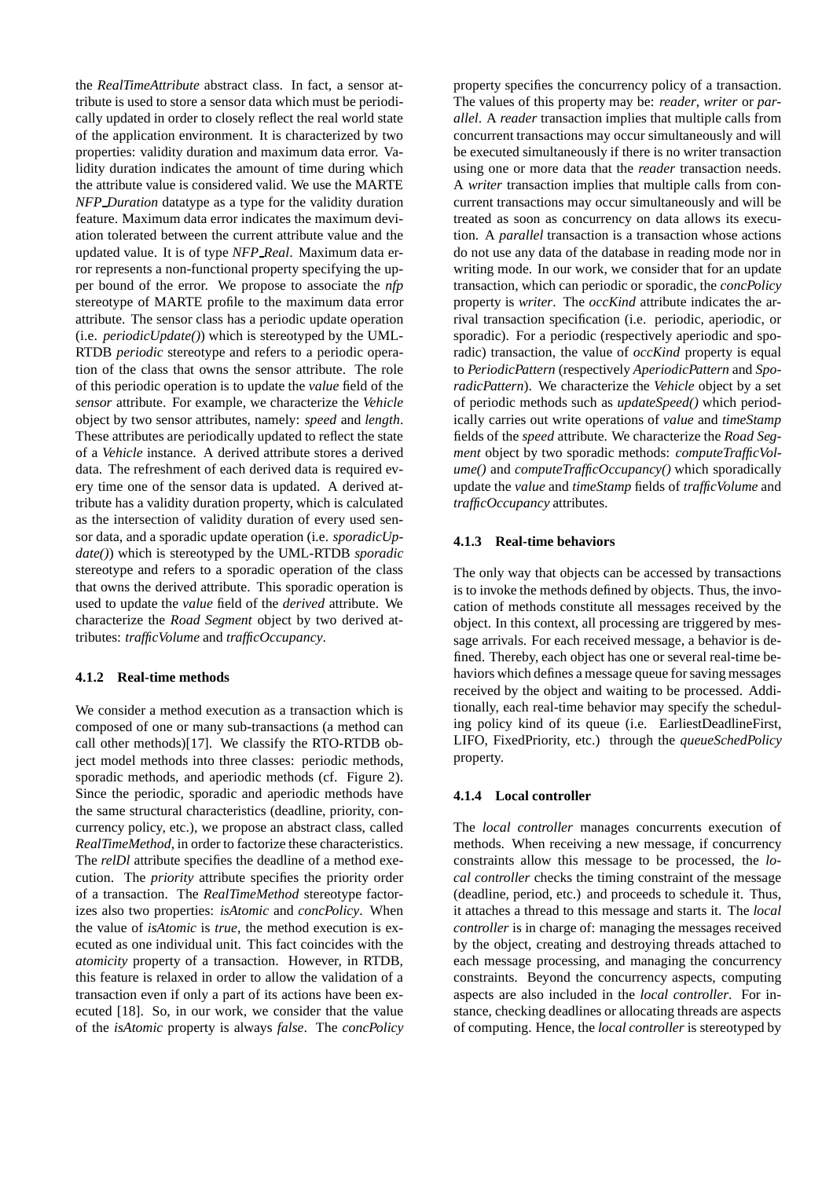the *RealTimeAttribute* abstract class. In fact, a sensor attribute is used to store a sensor data which must be periodically updated in order to closely reflect the real world state of the application environment. It is characterized by two properties: validity duration and maximum data error. Validity duration indicates the amount of time during which the attribute value is considered valid. We use the MARTE *NFP Duration* datatype as a type for the validity duration feature. Maximum data error indicates the maximum deviation tolerated between the current attribute value and the updated value. It is of type *NFP Real*. Maximum data error represents a non-functional property specifying the upper bound of the error. We propose to associate the *nfp* stereotype of MARTE profile to the maximum data error attribute. The sensor class has a periodic update operation (i.e. *periodicUpdate()*) which is stereotyped by the UML-RTDB *periodic* stereotype and refers to a periodic operation of the class that owns the sensor attribute. The role of this periodic operation is to update the *value* field of the *sensor* attribute. For example, we characterize the *Vehicle* object by two sensor attributes, namely: *speed* and *length*. These attributes are periodically updated to reflect the state of a *Vehicle* instance. A derived attribute stores a derived data. The refreshment of each derived data is required every time one of the sensor data is updated. A derived attribute has a validity duration property, which is calculated as the intersection of validity duration of every used sensor data, and a sporadic update operation (i.e. *sporadicUpdate()*) which is stereotyped by the UML-RTDB *sporadic* stereotype and refers to a sporadic operation of the class that owns the derived attribute. This sporadic operation is used to update the *value* field of the *derived* attribute. We characterize the *Road Segment* object by two derived attributes: *trafficVolume* and *trafficOccupancy*.

#### **4.1.2 Real-time methods**

We consider a method execution as a transaction which is composed of one or many sub-transactions (a method can call other methods)[17]. We classify the RTO-RTDB object model methods into three classes: periodic methods, sporadic methods, and aperiodic methods (cf. Figure 2). Since the periodic, sporadic and aperiodic methods have the same structural characteristics (deadline, priority, concurrency policy, etc.), we propose an abstract class, called *RealTimeMethod*, in order to factorize these characteristics. The *relDl* attribute specifies the deadline of a method execution. The *priority* attribute specifies the priority order of a transaction. The *RealTimeMethod* stereotype factorizes also two properties: *isAtomic* and *concPolicy*. When the value of *isAtomic* is *true*, the method execution is executed as one individual unit. This fact coincides with the *atomicity* property of a transaction. However, in RTDB, this feature is relaxed in order to allow the validation of a transaction even if only a part of its actions have been executed [18]. So, in our work, we consider that the value of the *isAtomic* property is always *false*. The *concPolicy*

property specifies the concurrency policy of a transaction. The values of this property may be: *reader*, *writer* or *parallel*. A *reader* transaction implies that multiple calls from concurrent transactions may occur simultaneously and will be executed simultaneously if there is no writer transaction using one or more data that the *reader* transaction needs. A *writer* transaction implies that multiple calls from concurrent transactions may occur simultaneously and will be treated as soon as concurrency on data allows its execution. A *parallel* transaction is a transaction whose actions do not use any data of the database in reading mode nor in writing mode. In our work, we consider that for an update transaction, which can periodic or sporadic, the *concPolicy* property is *writer*. The *occKind* attribute indicates the arrival transaction specification (i.e. periodic, aperiodic, or sporadic). For a periodic (respectively aperiodic and sporadic) transaction, the value of *occKind* property is equal to *PeriodicPattern* (respectively *AperiodicPattern* and *SporadicPattern*). We characterize the *Vehicle* object by a set of periodic methods such as *updateSpeed()* which periodically carries out write operations of *value* and *timeStamp* fields of the *speed* attribute. We characterize the *Road Segment* object by two sporadic methods: *computeTrafficVolume()* and *computeTrafficOccupancy()* which sporadically update the *value* and *timeStamp* fields of *trafficVolume* and *trafficOccupancy* attributes.

### **4.1.3 Real-time behaviors**

The only way that objects can be accessed by transactions is to invoke the methods defined by objects. Thus, the invocation of methods constitute all messages received by the object. In this context, all processing are triggered by message arrivals. For each received message, a behavior is defined. Thereby, each object has one or several real-time behaviors which defines a message queue for saving messages received by the object and waiting to be processed. Additionally, each real-time behavior may specify the scheduling policy kind of its queue (i.e. EarliestDeadlineFirst, LIFO, FixedPriority, etc.) through the *queueSchedPolicy* property.

#### **4.1.4 Local controller**

The *local controller* manages concurrents execution of methods. When receiving a new message, if concurrency constraints allow this message to be processed, the *local controller* checks the timing constraint of the message (deadline, period, etc.) and proceeds to schedule it. Thus, it attaches a thread to this message and starts it. The *local controller* is in charge of: managing the messages received by the object, creating and destroying threads attached to each message processing, and managing the concurrency constraints. Beyond the concurrency aspects, computing aspects are also included in the *local controller*. For instance, checking deadlines or allocating threads are aspects of computing. Hence, the *local controller* is stereotyped by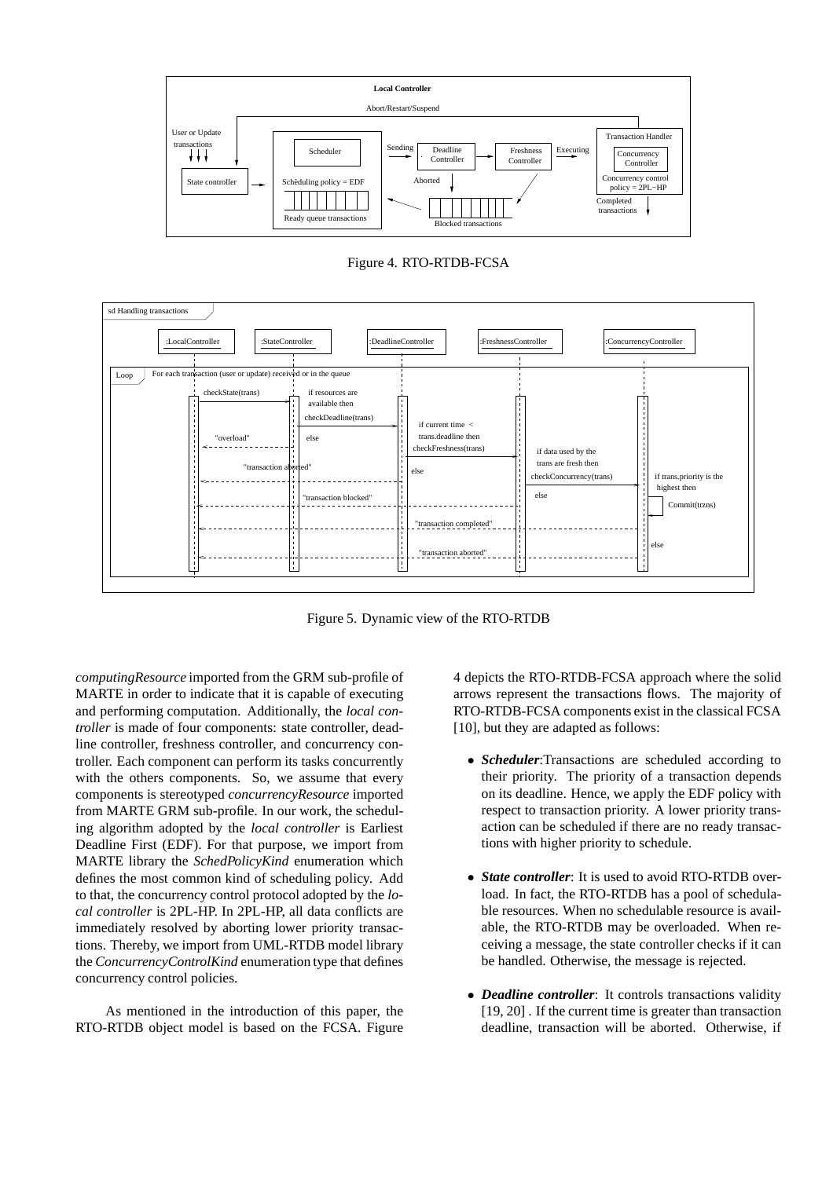

Figure 4. RTO-RTDB-FCSA



Figure 5. Dynamic view of the RTO-RTDB

*computingResource* imported from the GRM sub-profile of MARTE in order to indicate that it is capable of executing and performing computation. Additionally, the *local controller* is made of four components: state controller, deadline controller, freshness controller, and concurrency controller. Each component can perform its tasks concurrently with the others components. So, we assume that every components is stereotyped *concurrencyResource* imported from MARTE GRM sub-profile. In our work, the scheduling algorithm adopted by the *local controller* is Earliest Deadline First (EDF). For that purpose, we import from MARTE library the *SchedPolicyKind* enumeration which defines the most common kind of scheduling policy. Add to that, the concurrency control protocol adopted by the *local controller* is 2PL-HP. In 2PL-HP, all data conflicts are immediately resolved by aborting lower priority transactions. Thereby, we import from UML-RTDB model library the *ConcurrencyControlKind* enumeration type that defines concurrency control policies.

As mentioned in the introduction of this paper, the RTO-RTDB object model is based on the FCSA. Figure 4 depicts the RTO-RTDB-FCSA approach where the solid arrows represent the transactions flows. The majority of RTO-RTDB-FCSA components exist in the classical FCSA [10], but they are adapted as follows:

- *Scheduler*:Transactions are scheduled according to their priority. The priority of a transaction depends on its deadline. Hence, we apply the EDF policy with respect to transaction priority. A lower priority transaction can be scheduled if there are no ready transactions with higher priority to schedule.
- *State controller*: It is used to avoid RTO-RTDB overload. In fact, the RTO-RTDB has a pool of schedulable resources. When no schedulable resource is available, the RTO-RTDB may be overloaded. When receiving a message, the state controller checks if it can be handled. Otherwise, the message is rejected.
- *Deadline controller*: It controls transactions validity [19, 20] . If the current time is greater than transaction deadline, transaction will be aborted. Otherwise, if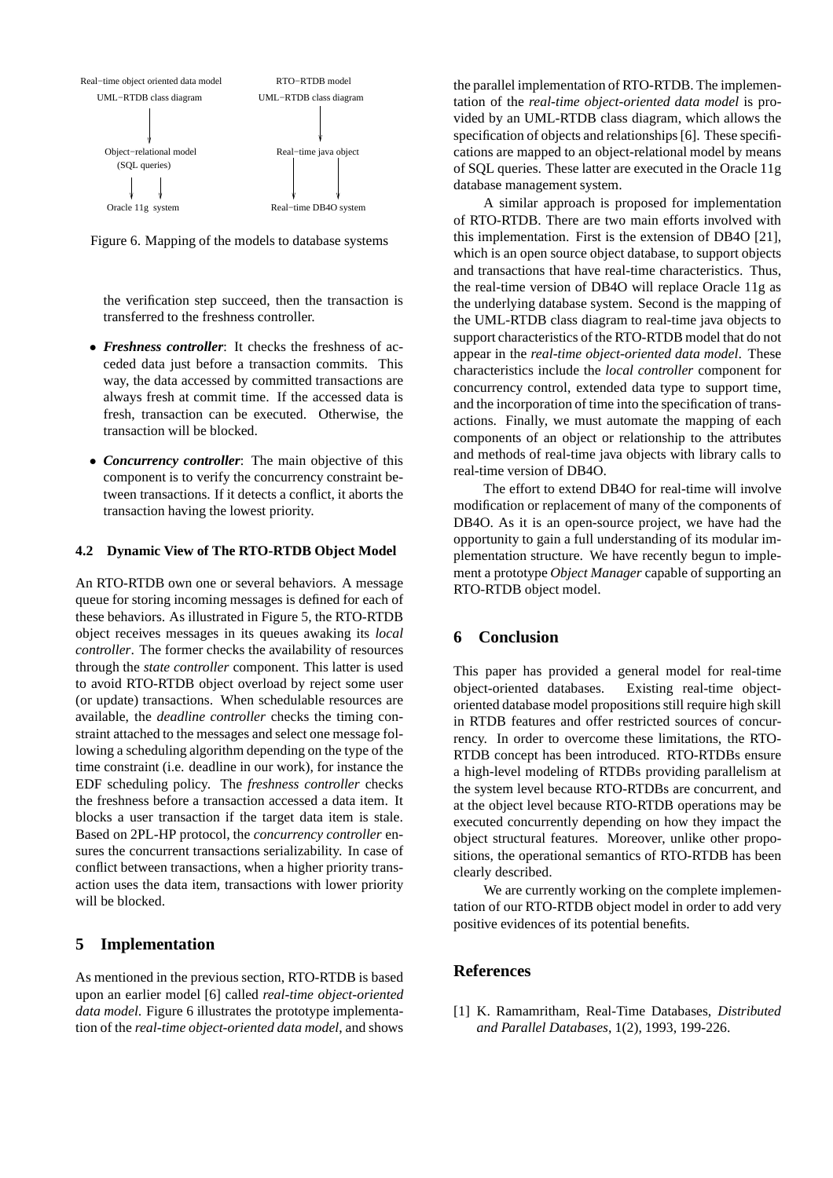

Figure 6. Mapping of the models to database systems

the verification step succeed, then the transaction is transferred to the freshness controller.

- *Freshness controller*: It checks the freshness of acceded data just before a transaction commits. This way, the data accessed by committed transactions are always fresh at commit time. If the accessed data is fresh, transaction can be executed. Otherwise, the transaction will be blocked.
- *Concurrency controller*: The main objective of this component is to verify the concurrency constraint between transactions. If it detects a conflict, it aborts the transaction having the lowest priority.

#### **4.2 Dynamic View of The RTO-RTDB Object Model**

An RTO-RTDB own one or several behaviors. A message queue for storing incoming messages is defined for each of these behaviors. As illustrated in Figure 5, the RTO-RTDB object receives messages in its queues awaking its *local controller*. The former checks the availability of resources through the *state controller* component. This latter is used to avoid RTO-RTDB object overload by reject some user (or update) transactions. When schedulable resources are available, the *deadline controller* checks the timing constraint attached to the messages and select one message following a scheduling algorithm depending on the type of the time constraint (i.e. deadline in our work), for instance the EDF scheduling policy. The *freshness controller* checks the freshness before a transaction accessed a data item. It blocks a user transaction if the target data item is stale. Based on 2PL-HP protocol, the *concurrency controller* ensures the concurrent transactions serializability. In case of conflict between transactions, when a higher priority transaction uses the data item, transactions with lower priority will be blocked.

### **5 Implementation**

As mentioned in the previous section, RTO-RTDB is based upon an earlier model [6] called *real-time object-oriented data model*. Figure 6 illustrates the prototype implementation of the *real-time object-oriented data model*, and shows the parallel implementation of RTO-RTDB. The implementation of the *real-time object-oriented data model* is provided by an UML-RTDB class diagram, which allows the specification of objects and relationships [6]. These specifications are mapped to an object-relational model by means of SQL queries. These latter are executed in the Oracle 11g database management system.

A similar approach is proposed for implementation of RTO-RTDB. There are two main efforts involved with this implementation. First is the extension of DB4O [21], which is an open source object database, to support objects and transactions that have real-time characteristics. Thus, the real-time version of DB4O will replace Oracle 11g as the underlying database system. Second is the mapping of the UML-RTDB class diagram to real-time java objects to support characteristics of the RTO-RTDB model that do not appear in the *real-time object-oriented data model*. These characteristics include the *local controller* component for concurrency control, extended data type to support time, and the incorporation of time into the specification of transactions. Finally, we must automate the mapping of each components of an object or relationship to the attributes and methods of real-time java objects with library calls to real-time version of DB4O.

The effort to extend DB4O for real-time will involve modification or replacement of many of the components of DB4O. As it is an open-source project, we have had the opportunity to gain a full understanding of its modular implementation structure. We have recently begun to implement a prototype *Object Manager* capable of supporting an RTO-RTDB object model.

# **6 Conclusion**

This paper has provided a general model for real-time object-oriented databases. Existing real-time objectoriented database model propositions still require high skill in RTDB features and offer restricted sources of concurrency. In order to overcome these limitations, the RTO-RTDB concept has been introduced. RTO-RTDBs ensure a high-level modeling of RTDBs providing parallelism at the system level because RTO-RTDBs are concurrent, and at the object level because RTO-RTDB operations may be executed concurrently depending on how they impact the object structural features. Moreover, unlike other propositions, the operational semantics of RTO-RTDB has been clearly described.

We are currently working on the complete implementation of our RTO-RTDB object model in order to add very positive evidences of its potential benefits.

# **References**

[1] K. Ramamritham, Real-Time Databases, *Distributed and Parallel Databases*, 1(2), 1993, 199-226.